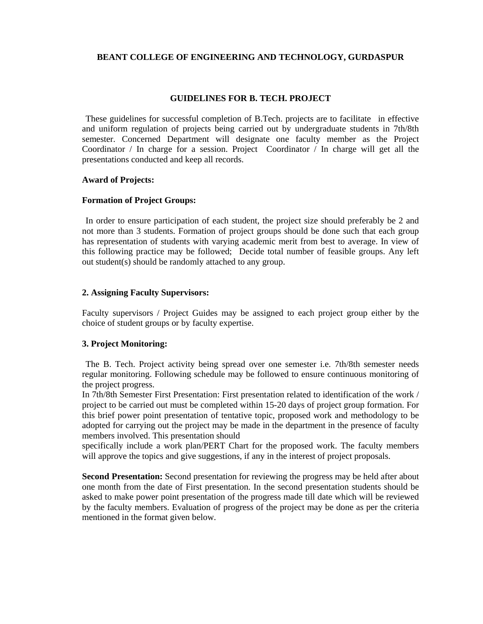# **BEANT COLLEGE OF ENGINEERING AND TECHNOLOGY, GURDASPUR**

# **GUIDELINES FOR B. TECH. PROJECT**

 These guidelines for successful completion of B.Tech. projects are to facilitate in effective and uniform regulation of projects being carried out by undergraduate students in 7th/8th semester. Concerned Department will designate one faculty member as the Project Coordinator / In charge for a session. Project Coordinator / In charge will get all the presentations conducted and keep all records.

# **Award of Projects:**

## **Formation of Project Groups:**

 In order to ensure participation of each student, the project size should preferably be 2 and not more than 3 students. Formation of project groups should be done such that each group has representation of students with varying academic merit from best to average. In view of this following practice may be followed; Decide total number of feasible groups. Any left out student(s) should be randomly attached to any group.

# **2. Assigning Faculty Supervisors:**

Faculty supervisors / Project Guides may be assigned to each project group either by the choice of student groups or by faculty expertise.

# **3. Project Monitoring:**

 The B. Tech. Project activity being spread over one semester i.e. 7th/8th semester needs regular monitoring. Following schedule may be followed to ensure continuous monitoring of the project progress.

In 7th/8th Semester First Presentation: First presentation related to identification of the work / project to be carried out must be completed within 15-20 days of project group formation. For this brief power point presentation of tentative topic, proposed work and methodology to be adopted for carrying out the project may be made in the department in the presence of faculty members involved. This presentation should

specifically include a work plan/PERT Chart for the proposed work. The faculty members will approve the topics and give suggestions, if any in the interest of project proposals.

**Second Presentation:** Second presentation for reviewing the progress may be held after about one month from the date of First presentation. In the second presentation students should be asked to make power point presentation of the progress made till date which will be reviewed by the faculty members. Evaluation of progress of the project may be done as per the criteria mentioned in the format given below.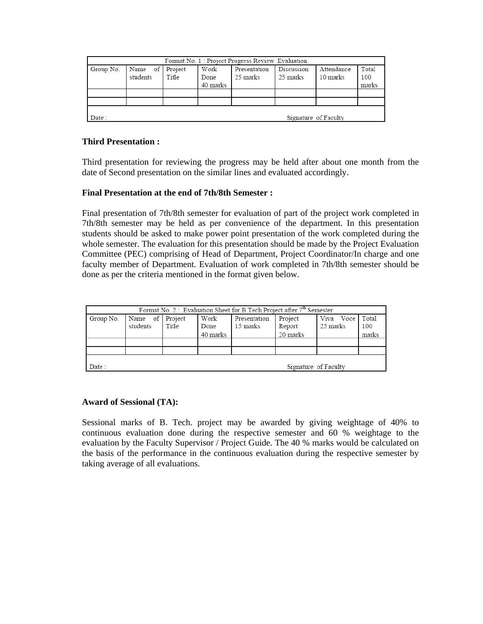| Group No. | Name of Project<br>students | Title | Work<br>Done<br>40 marks | Presentation<br>25 marks | Discussion<br>25 marks | Attendance<br>10 marks | Total<br>100<br>marks |
|-----------|-----------------------------|-------|--------------------------|--------------------------|------------------------|------------------------|-----------------------|
|           |                             |       |                          |                          |                        |                        |                       |

# **Third Presentation :**

Third presentation for reviewing the progress may be held after about one month from the date of Second presentation on the similar lines and evaluated accordingly.

# **Final Presentation at the end of 7th/8th Semester :**

Final presentation of 7th/8th semester for evaluation of part of the project work completed in 7th/8th semester may be held as per convenience of the department. In this presentation students should be asked to make power point presentation of the work completed during the whole semester. The evaluation for this presentation should be made by the Project Evaluation Committee (PEC) comprising of Head of Department, Project Coordinator/In charge and one faculty member of Department. Evaluation of work completed in 7th/8th semester should be done as per the criteria mentioned in the format given below.

| Group No. | Name of Project<br>students | Title | Work<br>Done<br>40 marks | Presentation<br>15 marks | Project<br>Report<br>20 marks | Viva Voce Total<br>25 marks | 100<br>marks |
|-----------|-----------------------------|-------|--------------------------|--------------------------|-------------------------------|-----------------------------|--------------|
|           |                             |       |                          |                          |                               |                             |              |

# **Award of Sessional (TA):**

Sessional marks of B. Tech. project may be awarded by giving weightage of 40% to continuous evaluation done during the respective semester and 60 % weightage to the evaluation by the Faculty Supervisor / Project Guide. The 40 % marks would be calculated on the basis of the performance in the continuous evaluation during the respective semester by taking average of all evaluations.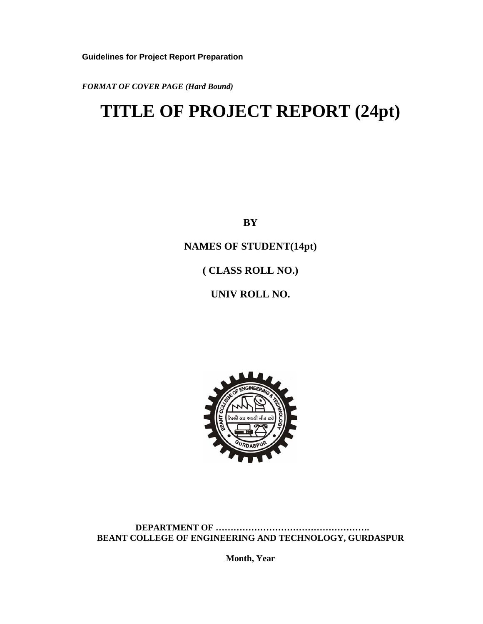**Guidelines for Project Report Preparation**

*FORMAT OF COVER PAGE (Hard Bound)* 

# **TITLE OF PROJECT REPORT (24pt)**

**BY** 

**NAMES OF STUDENT(14pt)** 

**( CLASS ROLL NO.)** 

**UNIV ROLL NO.** 



 **DEPARTMENT OF ……………………………………………. BEANT COLLEGE OF ENGINEERING AND TECHNOLOGY, GURDASPUR** 

**Month, Year**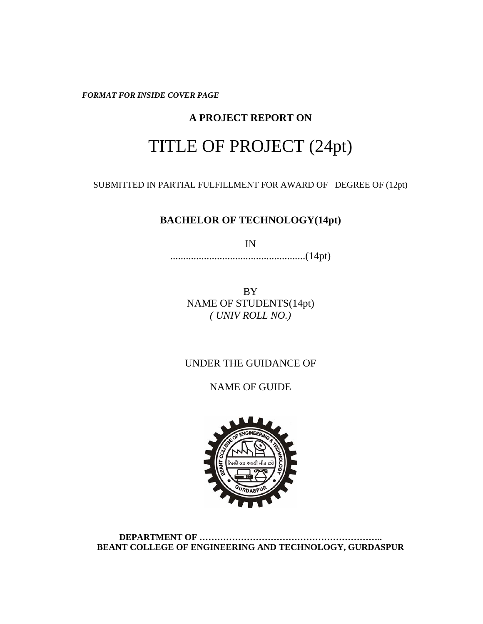*FORMAT FOR INSIDE COVER PAGE* 

# **A PROJECT REPORT ON**

# TITLE OF PROJECT (24pt)

SUBMITTED IN PARTIAL FULFILLMENT FOR AWARD OF DEGREE OF (12pt)

# **BACHELOR OF TECHNOLOGY(14pt)**

IN

....................................................(14pt)

BY NAME OF STUDENTS(14pt) *( UNIV ROLL NO.)* 

# UNDER THE GUIDANCE OF

NAME OF GUIDE



**DEPARTMENT OF …………………………………………………….. BEANT COLLEGE OF ENGINEERING AND TECHNOLOGY, GURDASPUR**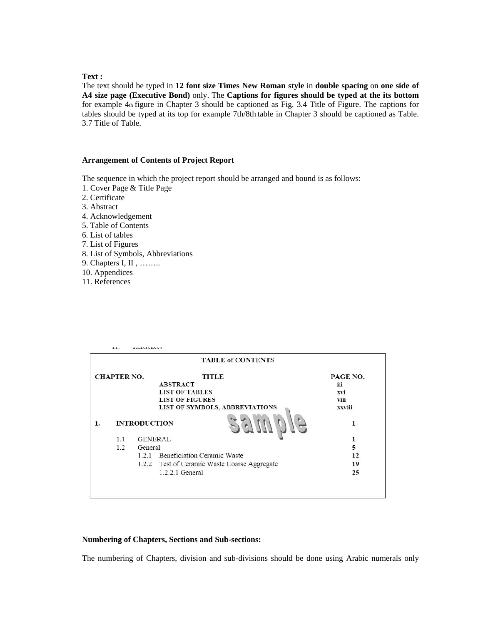## **Text :**

The text should be typed in **12 font size Times New Roman style** in **double spacing** on **one side of A4 size page (Executive Bond)** only. The **Captions for figures should be typed at the its bottom**  for example 4th figure in Chapter 3 should be captioned as Fig. 3.4 Title of Figure. The captions for tables should be typed at its top for example 7th/8th table in Chapter 3 should be captioned as Table. 3.7 Title of Table.

#### **Arrangement of Contents of Project Report**

The sequence in which the project report should be arranged and bound is as follows:

- 1. Cover Page & Title Page
- 2. Certificate
- 3. Abstract
- 4. Acknowledgement 5. Table of Contents 6. List of tables 7. List of Figures 8. List of Symbols, Abbreviations
- 9. Chapters I, II , ……..
- 10. Appendices
- 11. References

|                    |     | <b>TABLE of CONTENTS</b>                     |          |
|--------------------|-----|----------------------------------------------|----------|
| <b>CHAPTER NO.</b> |     | <b>TITLE</b>                                 | PAGE NO. |
|                    |     | <b>ABSTRACT</b>                              | iii      |
|                    |     | <b>LIST OF TABLES</b>                        | xvi      |
|                    |     | <b>LIST OF FIGURES</b>                       | viii     |
|                    |     | LIST OF SYMBOLS, ABBREVIATIONS               | xxviii   |
| 1.                 |     | <b>INTRODUCTION</b>                          |          |
|                    | 1.1 | <b>GENERAL</b>                               | 1        |
|                    |     | General                                      | 5        |
|                    | 1.2 |                                              |          |
|                    |     | 1.2.1 Beneficiation Ceramic Waste            | 12       |
|                    |     | 1.2.2 Test of Ceramic Waste Coarse Aggregate | 19       |

#### **Numbering of Chapters, Sections and Sub-sections:**

The numbering of Chapters, division and sub-divisions should be done using Arabic numerals only